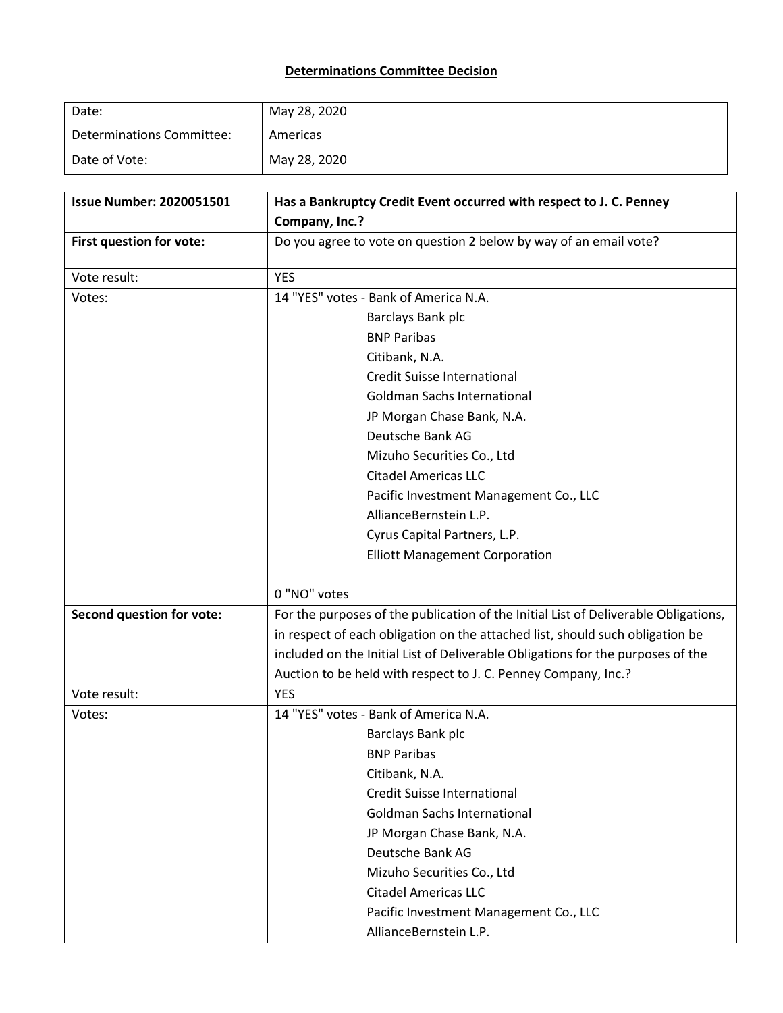## **Determinations Committee Decision**

| Date:                     | May 28, 2020 |
|---------------------------|--------------|
| Determinations Committee: | Americas     |
| Date of Vote:             | May 28, 2020 |

| <b>Issue Number: 2020051501</b>  | Has a Bankruptcy Credit Event occurred with respect to J. C. Penney                 |  |  |  |
|----------------------------------|-------------------------------------------------------------------------------------|--|--|--|
|                                  | Company, Inc.?                                                                      |  |  |  |
| First question for vote:         | Do you agree to vote on question 2 below by way of an email vote?                   |  |  |  |
| Vote result:                     | <b>YES</b>                                                                          |  |  |  |
| Votes:                           | 14 "YES" votes - Bank of America N.A.                                               |  |  |  |
|                                  | Barclays Bank plc<br><b>BNP Paribas</b>                                             |  |  |  |
|                                  |                                                                                     |  |  |  |
|                                  | Citibank, N.A.                                                                      |  |  |  |
|                                  | <b>Credit Suisse International</b>                                                  |  |  |  |
|                                  | <b>Goldman Sachs International</b>                                                  |  |  |  |
|                                  | JP Morgan Chase Bank, N.A.                                                          |  |  |  |
|                                  | Deutsche Bank AG                                                                    |  |  |  |
|                                  | Mizuho Securities Co., Ltd                                                          |  |  |  |
|                                  | <b>Citadel Americas LLC</b>                                                         |  |  |  |
|                                  | Pacific Investment Management Co., LLC                                              |  |  |  |
|                                  | AllianceBernstein L.P.                                                              |  |  |  |
|                                  | Cyrus Capital Partners, L.P.                                                        |  |  |  |
|                                  | <b>Elliott Management Corporation</b>                                               |  |  |  |
|                                  |                                                                                     |  |  |  |
|                                  | 0 "NO" votes                                                                        |  |  |  |
| <b>Second question for vote:</b> | For the purposes of the publication of the Initial List of Deliverable Obligations, |  |  |  |
|                                  | in respect of each obligation on the attached list, should such obligation be       |  |  |  |
|                                  | included on the Initial List of Deliverable Obligations for the purposes of the     |  |  |  |
|                                  | Auction to be held with respect to J. C. Penney Company, Inc.?                      |  |  |  |
| Vote result:                     | <b>YES</b>                                                                          |  |  |  |
| Votes:                           | 14 "YES" votes - Bank of America N.A.                                               |  |  |  |
|                                  | Barclays Bank plc                                                                   |  |  |  |
|                                  | <b>BNP Paribas</b>                                                                  |  |  |  |
|                                  | Citibank, N.A.                                                                      |  |  |  |
|                                  | <b>Credit Suisse International</b>                                                  |  |  |  |
|                                  | <b>Goldman Sachs International</b>                                                  |  |  |  |
|                                  | JP Morgan Chase Bank, N.A.                                                          |  |  |  |
|                                  | Deutsche Bank AG                                                                    |  |  |  |
|                                  | Mizuho Securities Co., Ltd                                                          |  |  |  |
|                                  | <b>Citadel Americas LLC</b>                                                         |  |  |  |
|                                  | Pacific Investment Management Co., LLC                                              |  |  |  |
|                                  | AllianceBernstein L.P.                                                              |  |  |  |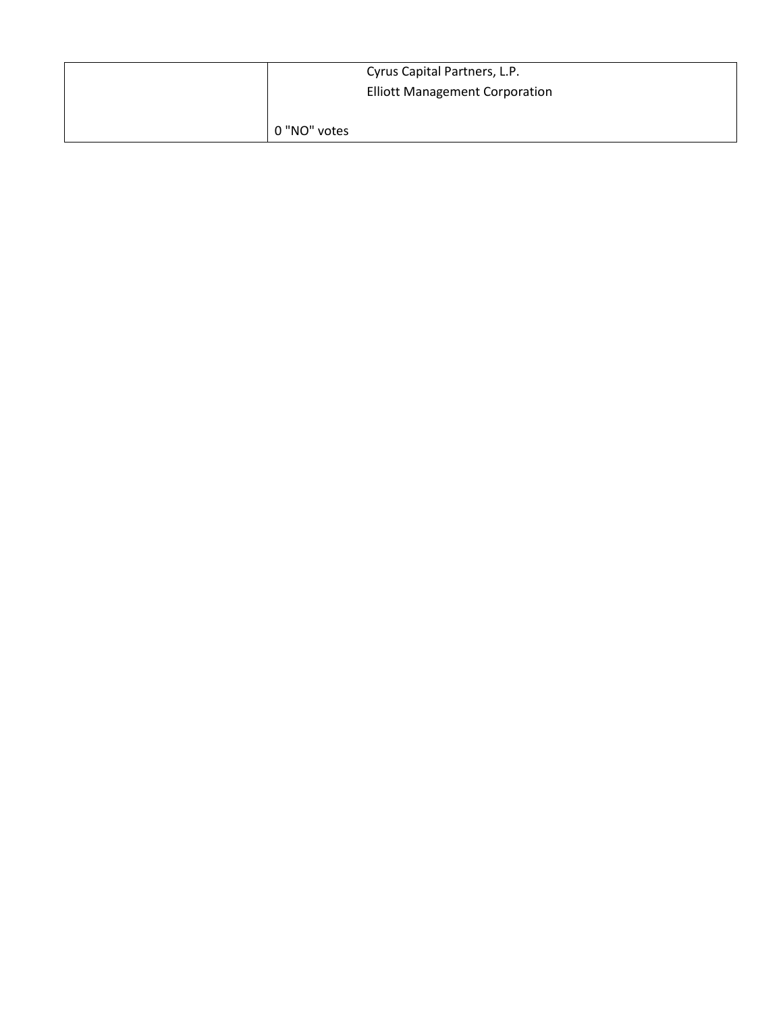| Cyrus Capital Partners, L.P.          |  |
|---------------------------------------|--|
| <b>Elliott Management Corporation</b> |  |
|                                       |  |
| 0 "NO" votes                          |  |